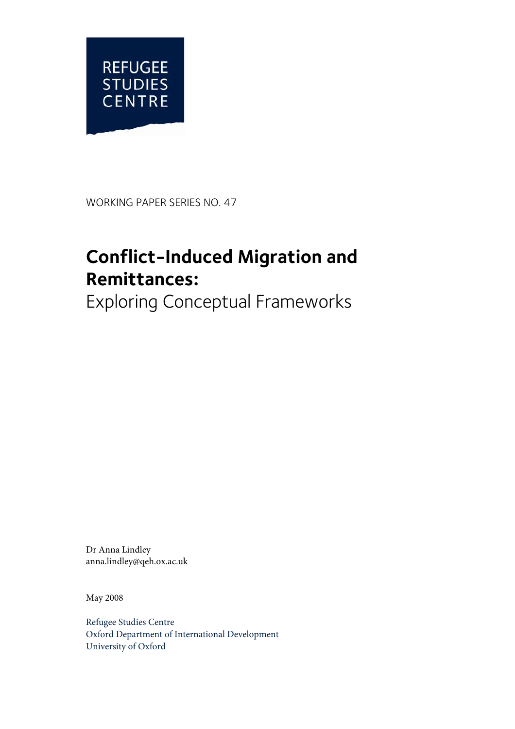

WORKING PAPER SERIES NO. 47

# **Conflict-Induced Migration and Remittances:**

Exploring Conceptual Frameworks

Dr Anna Lindley anna.lindley@qeh.ox.ac.uk

May 2008

Refugee Studies Centre Oxford Department of International Development University of Oxford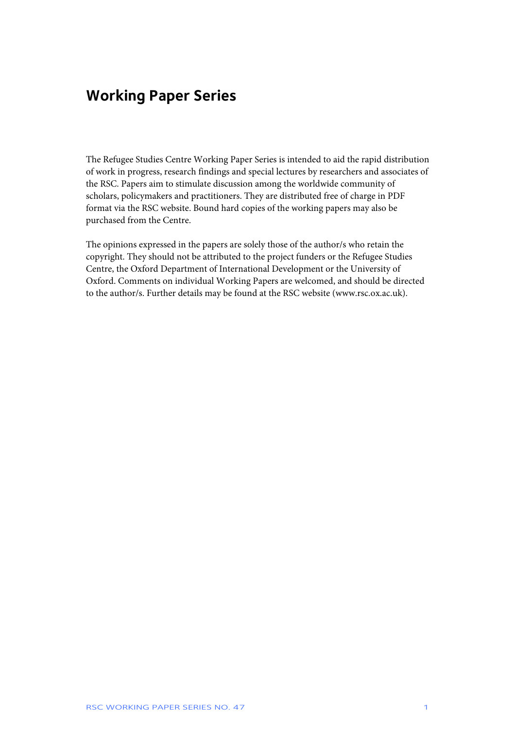#### **Working Paper Series**

The Refugee Studies Centre Working Paper Series is intended to aid the rapid distribution of work in progress, research findings and special lectures by researchers and associates of the RSC. Papers aim to stimulate discussion among the worldwide community of scholars, policymakers and practitioners. They are distributed free of charge in PDF format via the RSC website. Bound hard copies of the working papers may also be purchased from the Centre.

The opinions expressed in the papers are solely those of the author/s who retain the copyright. They should not be attributed to the project funders or the Refugee Studies Centre, the Oxford Department of International Development or the University of Oxford. Comments on individual Working Papers are welcomed, and should be directed to the author/s. Further details may be found at the RSC website (www.rsc.ox.ac.uk).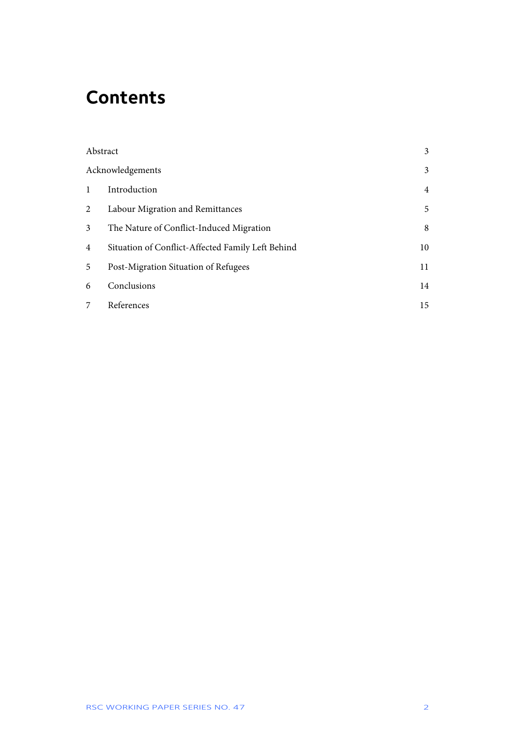# **Contents**

| Abstract         |                                                   | 3              |
|------------------|---------------------------------------------------|----------------|
| Acknowledgements |                                                   | 3              |
| 1                | Introduction                                      | $\overline{4}$ |
| 2                | Labour Migration and Remittances                  | 5              |
| 3                | The Nature of Conflict-Induced Migration          | 8              |
| $\overline{4}$   | Situation of Conflict-Affected Family Left Behind | 10             |
| 5                | Post-Migration Situation of Refugees              | 11             |
| 6                | Conclusions                                       | 14             |
| 7                | References                                        | 15             |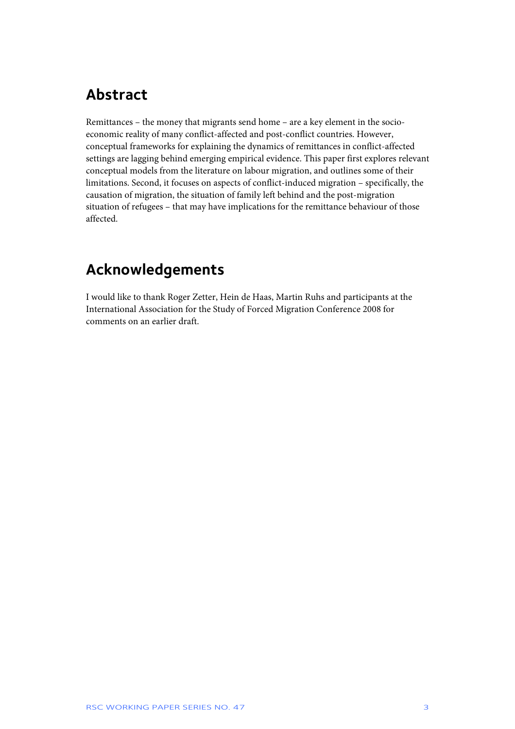### **Abstract**

Remittances – the money that migrants send home – are a key element in the socioeconomic reality of many conflict-affected and post-conflict countries. However, conceptual frameworks for explaining the dynamics of remittances in conflict-affected settings are lagging behind emerging empirical evidence. This paper first explores relevant conceptual models from the literature on labour migration, and outlines some of their limitations. Second, it focuses on aspects of conflict-induced migration – specifically, the causation of migration, the situation of family left behind and the post-migration situation of refugees – that may have implications for the remittance behaviour of those affected.

## **Acknowledgements**

I would like to thank Roger Zetter, Hein de Haas, Martin Ruhs and participants at the International Association for the Study of Forced Migration Conference 2008 for comments on an earlier draft.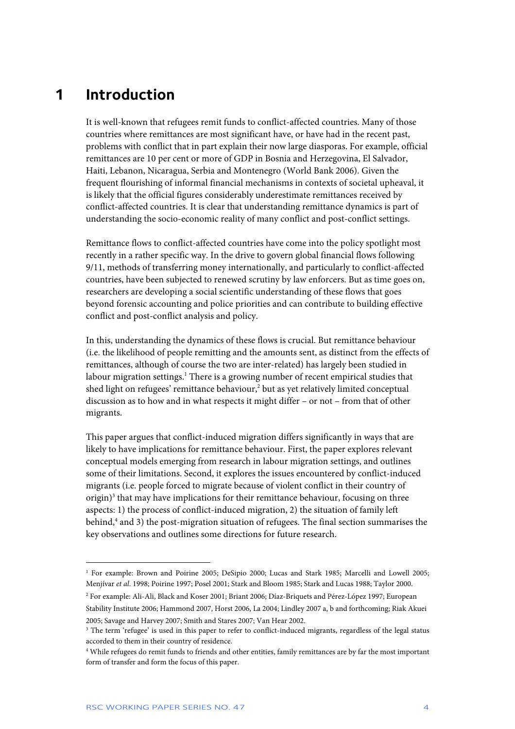#### **1 Introduction**

It is well-known that refugees remit funds to conflict-affected countries. Many of those countries where remittances are most significant have, or have had in the recent past, problems with conflict that in part explain their now large diasporas. For example, official remittances are 10 per cent or more of GDP in Bosnia and Herzegovina, El Salvador, Haiti, Lebanon, Nicaragua, Serbia and Montenegro (World Bank 2006). Given the frequent flourishing of informal financial mechanisms in contexts of societal upheaval, it is likely that the official figures considerably underestimate remittances received by conflict-affected countries. It is clear that understanding remittance dynamics is part of understanding the socio-economic reality of many conflict and post-conflict settings.

Remittance flows to conflict-affected countries have come into the policy spotlight most recently in a rather specific way. In the drive to govern global financial flows following 9/11, methods of transferring money internationally, and particularly to conflict-affected countries, have been subjected to renewed scrutiny by law enforcers. But as time goes on, researchers are developing a social scientific understanding of these flows that goes beyond forensic accounting and police priorities and can contribute to building effective conflict and post-conflict analysis and policy.

In this, understanding the dynamics of these flows is crucial. But remittance behaviour (i.e. the likelihood of people remitting and the amounts sent, as distinct from the effects of remittances, although of course the two are inter-related) has largely been studied in labour migration settings.<sup>1</sup> There is a growing number of recent empirical studies that shed light on refugees' remittance behaviour,<sup>2</sup> but as yet relatively limited conceptual discussion as to how and in what respects it might differ – or not – from that of other migrants.

This paper argues that conflict-induced migration differs significantly in ways that are likely to have implications for remittance behaviour. First, the paper explores relevant conceptual models emerging from research in labour migration settings, and outlines some of their limitations. Second, it explores the issues encountered by conflict-induced migrants (i.e. people forced to migrate because of violent conflict in their country of origin)<sup>3</sup> that may have implications for their remittance behaviour, focusing on three aspects: 1) the process of conflict-induced migration, 2) the situation of family left behind,<sup>4</sup> and 3) the post-migration situation of refugees. The final section summarises the key observations and outlines some directions for future research.

j

<sup>&</sup>lt;sup>1</sup> For example: Brown and Poirine 2005; DeSipio 2000; Lucas and Stark 1985; Marcelli and Lowell 2005; Menjívar *et al*. 1998; Poirine 1997; Posel 2001; Stark and Bloom 1985; Stark and Lucas 1988; Taylor 2000.

<sup>2</sup> For example: Ali-Ali, Black and Koser 2001; Briant 2006; Díaz-Briquets and Pérez-López 1997; European Stability Institute 2006; Hammond 2007, Horst 2006, La 2004; Lindley 2007 a, b and forthcoming; Riak Akuei 2005; Savage and Harvey 2007; Smith and Stares 2007; Van Hear 2002.

<sup>&</sup>lt;sup>3</sup> The term 'refugee' is used in this paper to refer to conflict-induced migrants, regardless of the legal status accorded to them in their country of residence.

<sup>4</sup> While refugees do remit funds to friends and other entities, family remittances are by far the most important form of transfer and form the focus of this paper.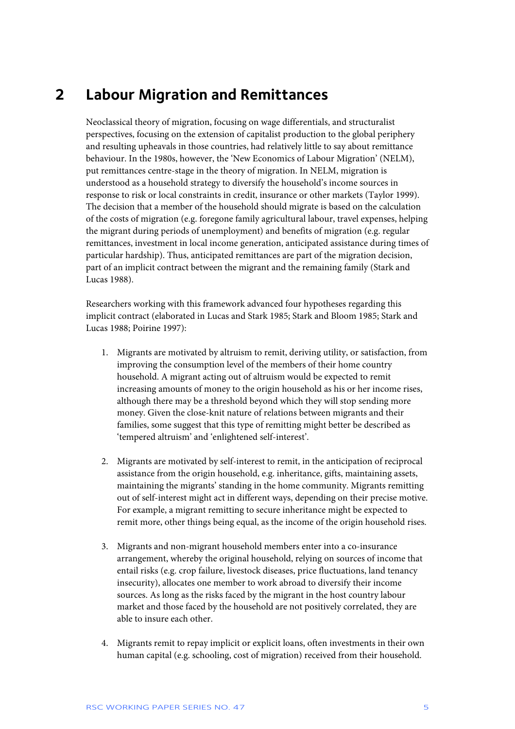#### **2 Labour Migration and Remittances**

Neoclassical theory of migration, focusing on wage differentials, and structuralist perspectives, focusing on the extension of capitalist production to the global periphery and resulting upheavals in those countries, had relatively little to say about remittance behaviour. In the 1980s, however, the 'New Economics of Labour Migration' (NELM), put remittances centre-stage in the theory of migration. In NELM, migration is understood as a household strategy to diversify the household's income sources in response to risk or local constraints in credit, insurance or other markets (Taylor 1999). The decision that a member of the household should migrate is based on the calculation of the costs of migration (e.g. foregone family agricultural labour, travel expenses, helping the migrant during periods of unemployment) and benefits of migration (e.g. regular remittances, investment in local income generation, anticipated assistance during times of particular hardship). Thus, anticipated remittances are part of the migration decision, part of an implicit contract between the migrant and the remaining family (Stark and Lucas 1988).

Researchers working with this framework advanced four hypotheses regarding this implicit contract (elaborated in Lucas and Stark 1985; Stark and Bloom 1985; Stark and Lucas 1988; Poirine 1997):

- 1. Migrants are motivated by altruism to remit, deriving utility, or satisfaction, from improving the consumption level of the members of their home country household. A migrant acting out of altruism would be expected to remit increasing amounts of money to the origin household as his or her income rises, although there may be a threshold beyond which they will stop sending more money. Given the close-knit nature of relations between migrants and their families, some suggest that this type of remitting might better be described as 'tempered altruism' and 'enlightened self-interest'.
- 2. Migrants are motivated by self-interest to remit, in the anticipation of reciprocal assistance from the origin household, e.g. inheritance, gifts, maintaining assets, maintaining the migrants' standing in the home community. Migrants remitting out of self-interest might act in different ways, depending on their precise motive. For example, a migrant remitting to secure inheritance might be expected to remit more, other things being equal, as the income of the origin household rises.
- 3. Migrants and non-migrant household members enter into a co-insurance arrangement, whereby the original household, relying on sources of income that entail risks (e.g. crop failure, livestock diseases, price fluctuations, land tenancy insecurity), allocates one member to work abroad to diversify their income sources. As long as the risks faced by the migrant in the host country labour market and those faced by the household are not positively correlated, they are able to insure each other.
- 4. Migrants remit to repay implicit or explicit loans, often investments in their own human capital (e.g. schooling, cost of migration) received from their household.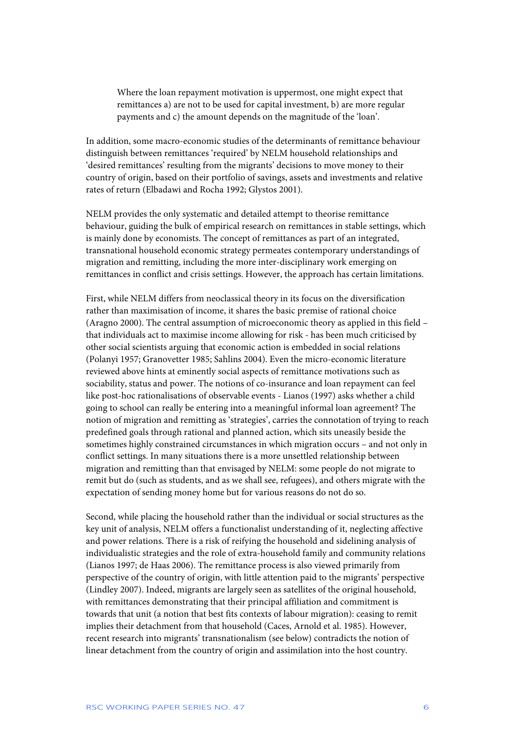Where the loan repayment motivation is uppermost, one might expect that remittances a) are not to be used for capital investment, b) are more regular payments and c) the amount depends on the magnitude of the 'loan'.

In addition, some macro-economic studies of the determinants of remittance behaviour distinguish between remittances 'required' by NELM household relationships and 'desired remittances' resulting from the migrants' decisions to move money to their country of origin, based on their portfolio of savings, assets and investments and relative rates of return (Elbadawi and Rocha 1992; Glystos 2001).

NELM provides the only systematic and detailed attempt to theorise remittance behaviour, guiding the bulk of empirical research on remittances in stable settings, which is mainly done by economists. The concept of remittances as part of an integrated, transnational household economic strategy permeates contemporary understandings of migration and remitting, including the more inter-disciplinary work emerging on remittances in conflict and crisis settings. However, the approach has certain limitations.

First, while NELM differs from neoclassical theory in its focus on the diversification rather than maximisation of income, it shares the basic premise of rational choice (Aragno 2000). The central assumption of microeconomic theory as applied in this field – that individuals act to maximise income allowing for risk - has been much criticised by other social scientists arguing that economic action is embedded in social relations (Polanyi 1957; Granovetter 1985; Sahlins 2004). Even the micro-economic literature reviewed above hints at eminently social aspects of remittance motivations such as sociability, status and power. The notions of co-insurance and loan repayment can feel like post-hoc rationalisations of observable events - Lianos (1997) asks whether a child going to school can really be entering into a meaningful informal loan agreement? The notion of migration and remitting as 'strategies', carries the connotation of trying to reach predefined goals through rational and planned action, which sits uneasily beside the sometimes highly constrained circumstances in which migration occurs – and not only in conflict settings. In many situations there is a more unsettled relationship between migration and remitting than that envisaged by NELM: some people do not migrate to remit but do (such as students, and as we shall see, refugees), and others migrate with the expectation of sending money home but for various reasons do not do so.

Second, while placing the household rather than the individual or social structures as the key unit of analysis, NELM offers a functionalist understanding of it, neglecting affective and power relations. There is a risk of reifying the household and sidelining analysis of individualistic strategies and the role of extra-household family and community relations (Lianos 1997; de Haas 2006). The remittance process is also viewed primarily from perspective of the country of origin, with little attention paid to the migrants' perspective (Lindley 2007). Indeed, migrants are largely seen as satellites of the original household, with remittances demonstrating that their principal affiliation and commitment is towards that unit (a notion that best fits contexts of labour migration): ceasing to remit implies their detachment from that household (Caces, Arnold et al. 1985). However, recent research into migrants' transnationalism (see below) contradicts the notion of linear detachment from the country of origin and assimilation into the host country.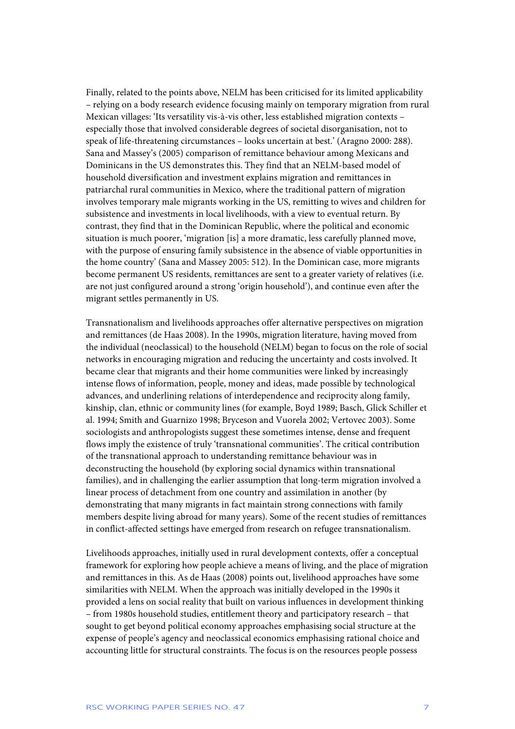Finally, related to the points above, NELM has been criticised for its limited applicability – relying on a body research evidence focusing mainly on temporary migration from rural Mexican villages: 'Its versatility vis-à-vis other, less established migration contexts – especially those that involved considerable degrees of societal disorganisation, not to speak of life-threatening circumstances – looks uncertain at best.' (Aragno 2000: 288). Sana and Massey's (2005) comparison of remittance behaviour among Mexicans and Dominicans in the US demonstrates this. They find that an NELM-based model of household diversification and investment explains migration and remittances in patriarchal rural communities in Mexico, where the traditional pattern of migration involves temporary male migrants working in the US, remitting to wives and children for subsistence and investments in local livelihoods, with a view to eventual return. By contrast, they find that in the Dominican Republic, where the political and economic situation is much poorer, 'migration [is] a more dramatic, less carefully planned move, with the purpose of ensuring family subsistence in the absence of viable opportunities in the home country' (Sana and Massey 2005: 512). In the Dominican case, more migrants become permanent US residents, remittances are sent to a greater variety of relatives (i.e. are not just configured around a strong 'origin household'), and continue even after the migrant settles permanently in US.

Transnationalism and livelihoods approaches offer alternative perspectives on migration and remittances (de Haas 2008). In the 1990s, migration literature, having moved from the individual (neoclassical) to the household (NELM) began to focus on the role of social networks in encouraging migration and reducing the uncertainty and costs involved. It became clear that migrants and their home communities were linked by increasingly intense flows of information, people, money and ideas, made possible by technological advances, and underlining relations of interdependence and reciprocity along family, kinship, clan, ethnic or community lines (for example, Boyd 1989; Basch, Glick Schiller et al. 1994; Smith and Guarnizo 1998; Bryceson and Vuorela 2002; Vertovec 2003). Some sociologists and anthropologists suggest these sometimes intense, dense and frequent flows imply the existence of truly 'transnational communities'. The critical contribution of the transnational approach to understanding remittance behaviour was in deconstructing the household (by exploring social dynamics within transnational families), and in challenging the earlier assumption that long-term migration involved a linear process of detachment from one country and assimilation in another (by demonstrating that many migrants in fact maintain strong connections with family members despite living abroad for many years). Some of the recent studies of remittances in conflict-affected settings have emerged from research on refugee transnationalism.

Livelihoods approaches, initially used in rural development contexts, offer a conceptual framework for exploring how people achieve a means of living, and the place of migration and remittances in this. As de Haas (2008) points out, livelihood approaches have some similarities with NELM. When the approach was initially developed in the 1990s it provided a lens on social reality that built on various influences in development thinking – from 1980s household studies, entitlement theory and participatory research – that sought to get beyond political economy approaches emphasising social structure at the expense of people's agency and neoclassical economics emphasising rational choice and accounting little for structural constraints. The focus is on the resources people possess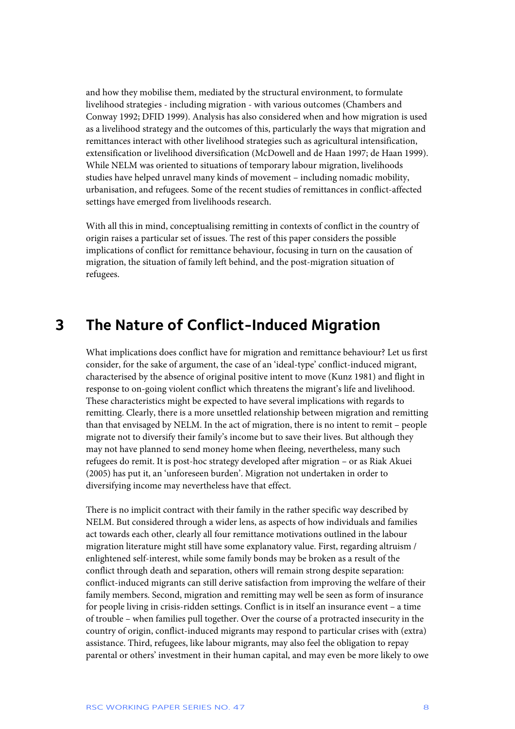and how they mobilise them, mediated by the structural environment, to formulate livelihood strategies - including migration - with various outcomes (Chambers and Conway 1992; DFID 1999). Analysis has also considered when and how migration is used as a livelihood strategy and the outcomes of this, particularly the ways that migration and remittances interact with other livelihood strategies such as agricultural intensification, extensification or livelihood diversification (McDowell and de Haan 1997; de Haan 1999). While NELM was oriented to situations of temporary labour migration, livelihoods studies have helped unravel many kinds of movement – including nomadic mobility, urbanisation, and refugees. Some of the recent studies of remittances in conflict-affected settings have emerged from livelihoods research.

With all this in mind, conceptualising remitting in contexts of conflict in the country of origin raises a particular set of issues. The rest of this paper considers the possible implications of conflict for remittance behaviour, focusing in turn on the causation of migration, the situation of family left behind, and the post-migration situation of refugees.

#### **3 The Nature of Conflict-Induced Migration**

What implications does conflict have for migration and remittance behaviour? Let us first consider, for the sake of argument, the case of an 'ideal-type' conflict-induced migrant, characterised by the absence of original positive intent to move (Kunz 1981) and flight in response to on-going violent conflict which threatens the migrant's life and livelihood. These characteristics might be expected to have several implications with regards to remitting. Clearly, there is a more unsettled relationship between migration and remitting than that envisaged by NELM. In the act of migration, there is no intent to remit – people migrate not to diversify their family's income but to save their lives. But although they may not have planned to send money home when fleeing, nevertheless, many such refugees do remit. It is post-hoc strategy developed after migration – or as Riak Akuei (2005) has put it, an 'unforeseen burden'. Migration not undertaken in order to diversifying income may nevertheless have that effect.

There is no implicit contract with their family in the rather specific way described by NELM. But considered through a wider lens, as aspects of how individuals and families act towards each other, clearly all four remittance motivations outlined in the labour migration literature might still have some explanatory value. First, regarding altruism / enlightened self-interest, while some family bonds may be broken as a result of the conflict through death and separation, others will remain strong despite separation: conflict-induced migrants can still derive satisfaction from improving the welfare of their family members. Second, migration and remitting may well be seen as form of insurance for people living in crisis-ridden settings. Conflict is in itself an insurance event – a time of trouble – when families pull together. Over the course of a protracted insecurity in the country of origin, conflict-induced migrants may respond to particular crises with (extra) assistance. Third, refugees, like labour migrants, may also feel the obligation to repay parental or others' investment in their human capital, and may even be more likely to owe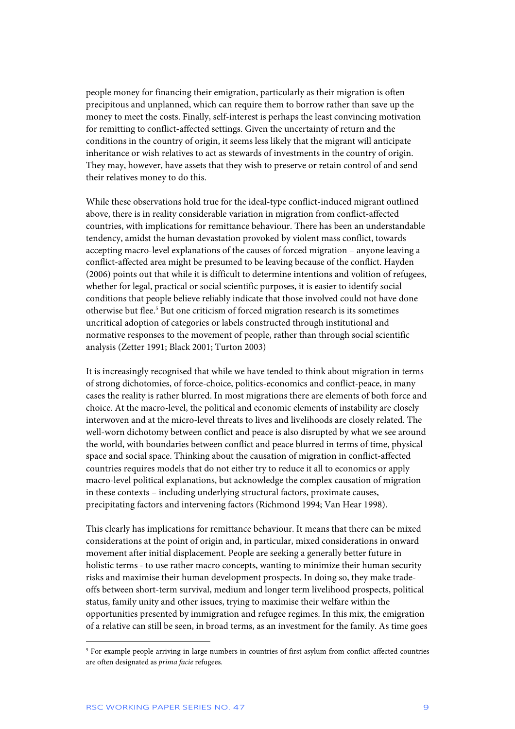people money for financing their emigration, particularly as their migration is often precipitous and unplanned, which can require them to borrow rather than save up the money to meet the costs. Finally, self-interest is perhaps the least convincing motivation for remitting to conflict-affected settings. Given the uncertainty of return and the conditions in the country of origin, it seems less likely that the migrant will anticipate inheritance or wish relatives to act as stewards of investments in the country of origin. They may, however, have assets that they wish to preserve or retain control of and send their relatives money to do this.

While these observations hold true for the ideal-type conflict-induced migrant outlined above, there is in reality considerable variation in migration from conflict-affected countries, with implications for remittance behaviour. There has been an understandable tendency, amidst the human devastation provoked by violent mass conflict, towards accepting macro-level explanations of the causes of forced migration – anyone leaving a conflict-affected area might be presumed to be leaving because of the conflict. Hayden (2006) points out that while it is difficult to determine intentions and volition of refugees, whether for legal, practical or social scientific purposes, it is easier to identify social conditions that people believe reliably indicate that those involved could not have done otherwise but flee.<sup>5</sup> But one criticism of forced migration research is its sometimes uncritical adoption of categories or labels constructed through institutional and normative responses to the movement of people, rather than through social scientific analysis (Zetter 1991; Black 2001; Turton 2003)

It is increasingly recognised that while we have tended to think about migration in terms of strong dichotomies, of force-choice, politics-economics and conflict-peace, in many cases the reality is rather blurred. In most migrations there are elements of both force and choice. At the macro-level, the political and economic elements of instability are closely interwoven and at the micro-level threats to lives and livelihoods are closely related. The well-worn dichotomy between conflict and peace is also disrupted by what we see around the world, with boundaries between conflict and peace blurred in terms of time, physical space and social space. Thinking about the causation of migration in conflict-affected countries requires models that do not either try to reduce it all to economics or apply macro-level political explanations, but acknowledge the complex causation of migration in these contexts – including underlying structural factors, proximate causes, precipitating factors and intervening factors (Richmond 1994; Van Hear 1998).

This clearly has implications for remittance behaviour. It means that there can be mixed considerations at the point of origin and, in particular, mixed considerations in onward movement after initial displacement. People are seeking a generally better future in holistic terms - to use rather macro concepts, wanting to minimize their human security risks and maximise their human development prospects. In doing so, they make tradeoffs between short-term survival, medium and longer term livelihood prospects, political status, family unity and other issues, trying to maximise their welfare within the opportunities presented by immigration and refugee regimes. In this mix, the emigration of a relative can still be seen, in broad terms, as an investment for the family. As time goes

j

<sup>5</sup> For example people arriving in large numbers in countries of first asylum from conflict-affected countries are often designated as *prima facie* refugees.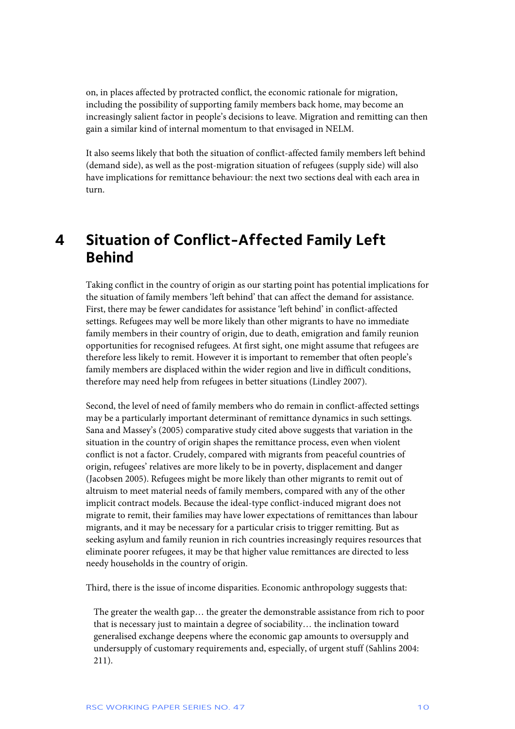on, in places affected by protracted conflict, the economic rationale for migration, including the possibility of supporting family members back home, may become an increasingly salient factor in people's decisions to leave. Migration and remitting can then gain a similar kind of internal momentum to that envisaged in NELM.

It also seems likely that both the situation of conflict-affected family members left behind (demand side), as well as the post-migration situation of refugees (supply side) will also have implications for remittance behaviour: the next two sections deal with each area in turn.

#### **4 Situation of Conflict-Affected Family Left Behind**

Taking conflict in the country of origin as our starting point has potential implications for the situation of family members 'left behind' that can affect the demand for assistance. First, there may be fewer candidates for assistance 'left behind' in conflict-affected settings. Refugees may well be more likely than other migrants to have no immediate family members in their country of origin, due to death, emigration and family reunion opportunities for recognised refugees. At first sight, one might assume that refugees are therefore less likely to remit. However it is important to remember that often people's family members are displaced within the wider region and live in difficult conditions, therefore may need help from refugees in better situations (Lindley 2007).

Second, the level of need of family members who do remain in conflict-affected settings may be a particularly important determinant of remittance dynamics in such settings. Sana and Massey's (2005) comparative study cited above suggests that variation in the situation in the country of origin shapes the remittance process, even when violent conflict is not a factor. Crudely, compared with migrants from peaceful countries of origin, refugees' relatives are more likely to be in poverty, displacement and danger (Jacobsen 2005). Refugees might be more likely than other migrants to remit out of altruism to meet material needs of family members, compared with any of the other implicit contract models. Because the ideal-type conflict-induced migrant does not migrate to remit, their families may have lower expectations of remittances than labour migrants, and it may be necessary for a particular crisis to trigger remitting. But as seeking asylum and family reunion in rich countries increasingly requires resources that eliminate poorer refugees, it may be that higher value remittances are directed to less needy households in the country of origin.

Third, there is the issue of income disparities. Economic anthropology suggests that:

The greater the wealth gap… the greater the demonstrable assistance from rich to poor that is necessary just to maintain a degree of sociability… the inclination toward generalised exchange deepens where the economic gap amounts to oversupply and undersupply of customary requirements and, especially, of urgent stuff (Sahlins 2004: 211).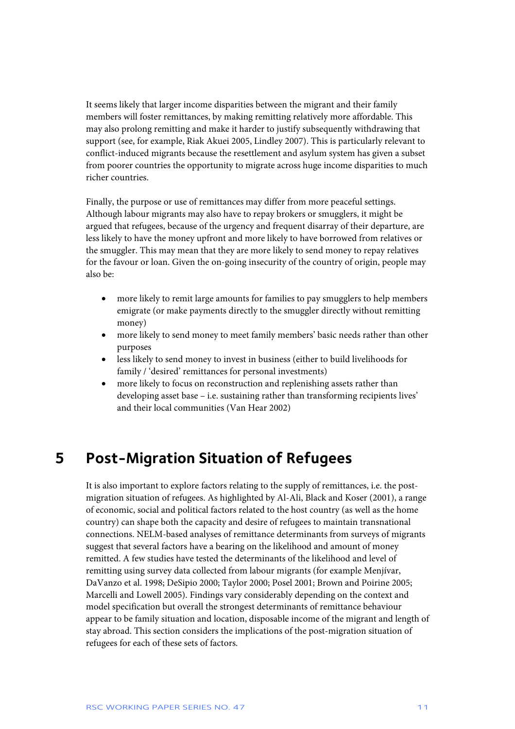It seems likely that larger income disparities between the migrant and their family members will foster remittances, by making remitting relatively more affordable. This may also prolong remitting and make it harder to justify subsequently withdrawing that support (see, for example, Riak Akuei 2005, Lindley 2007). This is particularly relevant to conflict-induced migrants because the resettlement and asylum system has given a subset from poorer countries the opportunity to migrate across huge income disparities to much richer countries.

Finally, the purpose or use of remittances may differ from more peaceful settings. Although labour migrants may also have to repay brokers or smugglers, it might be argued that refugees, because of the urgency and frequent disarray of their departure, are less likely to have the money upfront and more likely to have borrowed from relatives or the smuggler. This may mean that they are more likely to send money to repay relatives for the favour or loan. Given the on-going insecurity of the country of origin, people may also be:

- more likely to remit large amounts for families to pay smugglers to help members emigrate (or make payments directly to the smuggler directly without remitting money)
- more likely to send money to meet family members' basic needs rather than other purposes
- less likely to send money to invest in business (either to build livelihoods for family / 'desired' remittances for personal investments)
- more likely to focus on reconstruction and replenishing assets rather than developing asset base – i.e. sustaining rather than transforming recipients lives' and their local communities (Van Hear 2002)

#### **5 Post-Migration Situation of Refugees**

It is also important to explore factors relating to the supply of remittances, i.e. the postmigration situation of refugees. As highlighted by Al-Ali, Black and Koser (2001), a range of economic, social and political factors related to the host country (as well as the home country) can shape both the capacity and desire of refugees to maintain transnational connections. NELM-based analyses of remittance determinants from surveys of migrants suggest that several factors have a bearing on the likelihood and amount of money remitted. A few studies have tested the determinants of the likelihood and level of remitting using survey data collected from labour migrants (for example Menjívar, DaVanzo et al. 1998; DeSipio 2000; Taylor 2000; Posel 2001; Brown and Poirine 2005; Marcelli and Lowell 2005). Findings vary considerably depending on the context and model specification but overall the strongest determinants of remittance behaviour appear to be family situation and location, disposable income of the migrant and length of stay abroad. This section considers the implications of the post-migration situation of refugees for each of these sets of factors.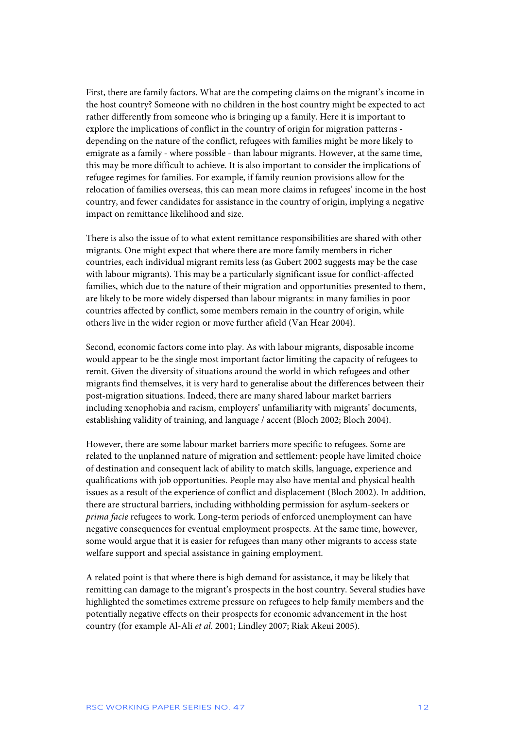First, there are family factors. What are the competing claims on the migrant's income in the host country? Someone with no children in the host country might be expected to act rather differently from someone who is bringing up a family. Here it is important to explore the implications of conflict in the country of origin for migration patterns depending on the nature of the conflict, refugees with families might be more likely to emigrate as a family - where possible - than labour migrants. However, at the same time, this may be more difficult to achieve. It is also important to consider the implications of refugee regimes for families. For example, if family reunion provisions allow for the relocation of families overseas, this can mean more claims in refugees' income in the host country, and fewer candidates for assistance in the country of origin, implying a negative impact on remittance likelihood and size.

There is also the issue of to what extent remittance responsibilities are shared with other migrants. One might expect that where there are more family members in richer countries, each individual migrant remits less (as Gubert 2002 suggests may be the case with labour migrants). This may be a particularly significant issue for conflict-affected families, which due to the nature of their migration and opportunities presented to them, are likely to be more widely dispersed than labour migrants: in many families in poor countries affected by conflict, some members remain in the country of origin, while others live in the wider region or move further afield (Van Hear 2004).

Second, economic factors come into play. As with labour migrants, disposable income would appear to be the single most important factor limiting the capacity of refugees to remit. Given the diversity of situations around the world in which refugees and other migrants find themselves, it is very hard to generalise about the differences between their post-migration situations. Indeed, there are many shared labour market barriers including xenophobia and racism, employers' unfamiliarity with migrants' documents, establishing validity of training, and language / accent (Bloch 2002; Bloch 2004).

However, there are some labour market barriers more specific to refugees. Some are related to the unplanned nature of migration and settlement: people have limited choice of destination and consequent lack of ability to match skills, language, experience and qualifications with job opportunities. People may also have mental and physical health issues as a result of the experience of conflict and displacement (Bloch 2002). In addition, there are structural barriers, including withholding permission for asylum-seekers or *prima facie* refugees to work. Long-term periods of enforced unemployment can have negative consequences for eventual employment prospects. At the same time, however, some would argue that it is easier for refugees than many other migrants to access state welfare support and special assistance in gaining employment.

A related point is that where there is high demand for assistance, it may be likely that remitting can damage to the migrant's prospects in the host country. Several studies have highlighted the sometimes extreme pressure on refugees to help family members and the potentially negative effects on their prospects for economic advancement in the host country (for example Al-Ali *et al.* 2001; Lindley 2007; Riak Akeui 2005).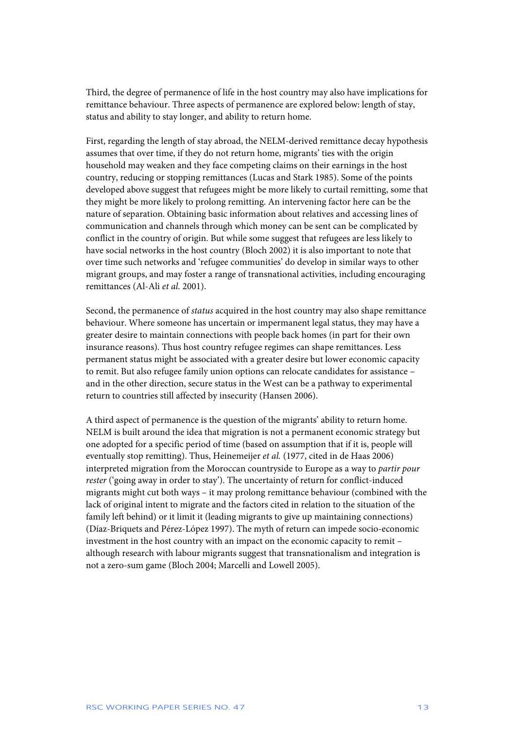Third, the degree of permanence of life in the host country may also have implications for remittance behaviour. Three aspects of permanence are explored below: length of stay, status and ability to stay longer, and ability to return home.

First, regarding the length of stay abroad, the NELM-derived remittance decay hypothesis assumes that over time, if they do not return home, migrants' ties with the origin household may weaken and they face competing claims on their earnings in the host country, reducing or stopping remittances (Lucas and Stark 1985). Some of the points developed above suggest that refugees might be more likely to curtail remitting, some that they might be more likely to prolong remitting. An intervening factor here can be the nature of separation. Obtaining basic information about relatives and accessing lines of communication and channels through which money can be sent can be complicated by conflict in the country of origin. But while some suggest that refugees are less likely to have social networks in the host country (Bloch 2002) it is also important to note that over time such networks and 'refugee communities' do develop in similar ways to other migrant groups, and may foster a range of transnational activities, including encouraging remittances (Al-Ali *et al.* 2001).

Second, the permanence of *status* acquired in the host country may also shape remittance behaviour. Where someone has uncertain or impermanent legal status, they may have a greater desire to maintain connections with people back homes (in part for their own insurance reasons). Thus host country refugee regimes can shape remittances. Less permanent status might be associated with a greater desire but lower economic capacity to remit. But also refugee family union options can relocate candidates for assistance – and in the other direction, secure status in the West can be a pathway to experimental return to countries still affected by insecurity (Hansen 2006).

A third aspect of permanence is the question of the migrants' ability to return home. NELM is built around the idea that migration is not a permanent economic strategy but one adopted for a specific period of time (based on assumption that if it is, people will eventually stop remitting). Thus, Heinemeijer *et al.* (1977, cited in de Haas 2006) interpreted migration from the Moroccan countryside to Europe as a way to *partir pour rester* ('going away in order to stay'). The uncertainty of return for conflict-induced migrants might cut both ways – it may prolong remittance behaviour (combined with the lack of original intent to migrate and the factors cited in relation to the situation of the family left behind) or it limit it (leading migrants to give up maintaining connections) (Díaz-Briquets and Pérez-López 1997). The myth of return can impede socio-economic investment in the host country with an impact on the economic capacity to remit – although research with labour migrants suggest that transnationalism and integration is not a zero-sum game (Bloch 2004; Marcelli and Lowell 2005).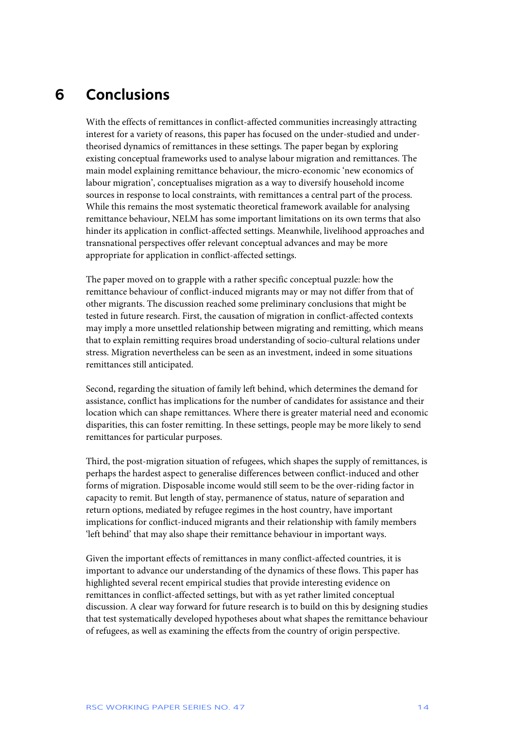#### **6 Conclusions**

With the effects of remittances in conflict-affected communities increasingly attracting interest for a variety of reasons, this paper has focused on the under-studied and undertheorised dynamics of remittances in these settings. The paper began by exploring existing conceptual frameworks used to analyse labour migration and remittances. The main model explaining remittance behaviour, the micro-economic 'new economics of labour migration', conceptualises migration as a way to diversify household income sources in response to local constraints, with remittances a central part of the process. While this remains the most systematic theoretical framework available for analysing remittance behaviour, NELM has some important limitations on its own terms that also hinder its application in conflict-affected settings. Meanwhile, livelihood approaches and transnational perspectives offer relevant conceptual advances and may be more appropriate for application in conflict-affected settings.

The paper moved on to grapple with a rather specific conceptual puzzle: how the remittance behaviour of conflict-induced migrants may or may not differ from that of other migrants. The discussion reached some preliminary conclusions that might be tested in future research. First, the causation of migration in conflict-affected contexts may imply a more unsettled relationship between migrating and remitting, which means that to explain remitting requires broad understanding of socio-cultural relations under stress. Migration nevertheless can be seen as an investment, indeed in some situations remittances still anticipated.

Second, regarding the situation of family left behind, which determines the demand for assistance, conflict has implications for the number of candidates for assistance and their location which can shape remittances. Where there is greater material need and economic disparities, this can foster remitting. In these settings, people may be more likely to send remittances for particular purposes.

Third, the post-migration situation of refugees, which shapes the supply of remittances, is perhaps the hardest aspect to generalise differences between conflict-induced and other forms of migration. Disposable income would still seem to be the over-riding factor in capacity to remit. But length of stay, permanence of status, nature of separation and return options, mediated by refugee regimes in the host country, have important implications for conflict-induced migrants and their relationship with family members 'left behind' that may also shape their remittance behaviour in important ways.

Given the important effects of remittances in many conflict-affected countries, it is important to advance our understanding of the dynamics of these flows. This paper has highlighted several recent empirical studies that provide interesting evidence on remittances in conflict-affected settings, but with as yet rather limited conceptual discussion. A clear way forward for future research is to build on this by designing studies that test systematically developed hypotheses about what shapes the remittance behaviour of refugees, as well as examining the effects from the country of origin perspective.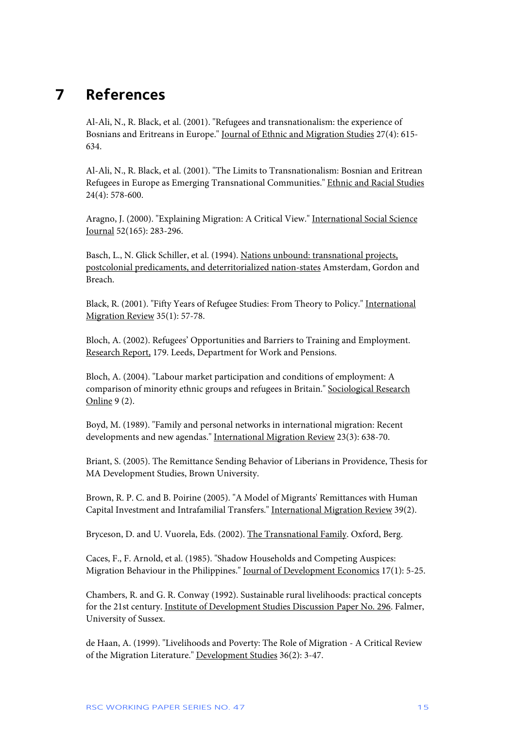#### **7 References**

Al-Ali, N., R. Black, et al. (2001). "Refugees and transnationalism: the experience of Bosnians and Eritreans in Europe." Journal of Ethnic and Migration Studies 27(4): 615- 634.

Al-Ali, N., R. Black, et al. (2001). "The Limits to Transnationalism: Bosnian and Eritrean Refugees in Europe as Emerging Transnational Communities." Ethnic and Racial Studies 24(4): 578-600.

Aragno, J. (2000). "Explaining Migration: A Critical View." International Social Science Journal 52(165): 283-296.

Basch, L., N. Glick Schiller, et al. (1994). Nations unbound: transnational projects, postcolonial predicaments, and deterritorialized nation-states Amsterdam, Gordon and Breach.

Black, R. (2001). "Fifty Years of Refugee Studies: From Theory to Policy." International Migration Review 35(1): 57-78.

Bloch, A. (2002). Refugees' Opportunities and Barriers to Training and Employment. Research Report, 179. Leeds, Department for Work and Pensions.

Bloch, A. (2004). "Labour market participation and conditions of employment: A comparison of minority ethnic groups and refugees in Britain." Sociological Research Online 9 (2).

Boyd, M. (1989). "Family and personal networks in international migration: Recent developments and new agendas." International Migration Review 23(3): 638-70.

Briant, S. (2005). The Remittance Sending Behavior of Liberians in Providence, Thesis for MA Development Studies, Brown University.

Brown, R. P. C. and B. Poirine (2005). "A Model of Migrants' Remittances with Human Capital Investment and Intrafamilial Transfers." International Migration Review 39(2).

Bryceson, D. and U. Vuorela, Eds. (2002). The Transnational Family. Oxford, Berg.

Caces, F., F. Arnold, et al. (1985). "Shadow Households and Competing Auspices: Migration Behaviour in the Philippines." Journal of Development Economics 17(1): 5-25.

Chambers, R. and G. R. Conway (1992). Sustainable rural livelihoods: practical concepts for the 21st century. Institute of Development Studies Discussion Paper No. 296. Falmer, University of Sussex.

de Haan, A. (1999). "Livelihoods and Poverty: The Role of Migration - A Critical Review of the Migration Literature." Development Studies 36(2): 3-47.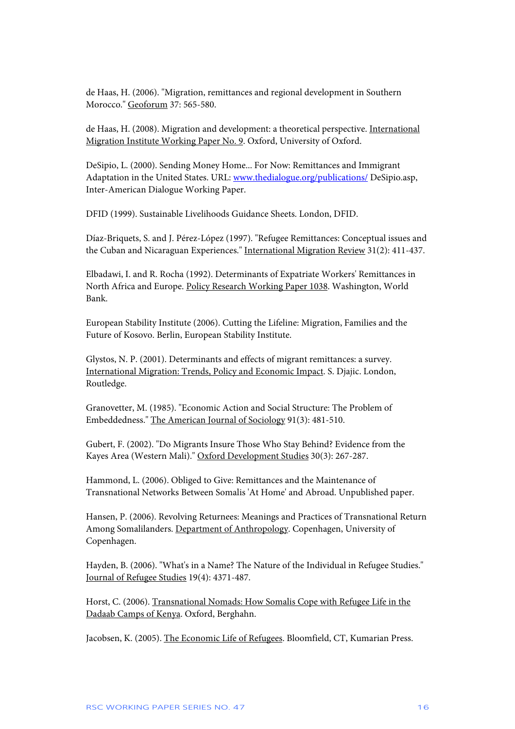de Haas, H. (2006). "Migration, remittances and regional development in Southern Morocco." Geoforum 37: 565-580.

de Haas, H. (2008). Migration and development: a theoretical perspective. International Migration Institute Working Paper No. 9. Oxford, University of Oxford.

DeSipio, L. (2000). Sending Money Home... For Now: Remittances and Immigrant Adaptation in the United States. URL: www.thedialogue.org/publications/ DeSipio.asp, Inter-American Dialogue Working Paper.

DFID (1999). Sustainable Livelihoods Guidance Sheets. London, DFID.

Díaz-Briquets, S. and J. Pérez-López (1997). "Refugee Remittances: Conceptual issues and the Cuban and Nicaraguan Experiences." International Migration Review 31(2): 411-437.

Elbadawi, I. and R. Rocha (1992). Determinants of Expatriate Workers' Remittances in North Africa and Europe. Policy Research Working Paper 1038. Washington, World Bank.

European Stability Institute (2006). Cutting the Lifeline: Migration, Families and the Future of Kosovo. Berlin, European Stability Institute.

Glystos, N. P. (2001). Determinants and effects of migrant remittances: a survey. International Migration: Trends, Policy and Economic Impact. S. Djajic. London, Routledge.

Granovetter, M. (1985). "Economic Action and Social Structure: The Problem of Embeddedness." The American Journal of Sociology 91(3): 481-510.

Gubert, F. (2002). "Do Migrants Insure Those Who Stay Behind? Evidence from the Kayes Area (Western Mali)." Oxford Development Studies 30(3): 267-287.

Hammond, L. (2006). Obliged to Give: Remittances and the Maintenance of Transnational Networks Between Somalis 'At Home' and Abroad. Unpublished paper.

Hansen, P. (2006). Revolving Returnees: Meanings and Practices of Transnational Return Among Somalilanders. Department of Anthropology. Copenhagen, University of Copenhagen.

Hayden, B. (2006). "What's in a Name? The Nature of the Individual in Refugee Studies." Journal of Refugee Studies 19(4): 4371-487.

Horst, C. (2006). Transnational Nomads: How Somalis Cope with Refugee Life in the Dadaab Camps of Kenya. Oxford, Berghahn.

Jacobsen, K. (2005). The Economic Life of Refugees. Bloomfield, CT, Kumarian Press.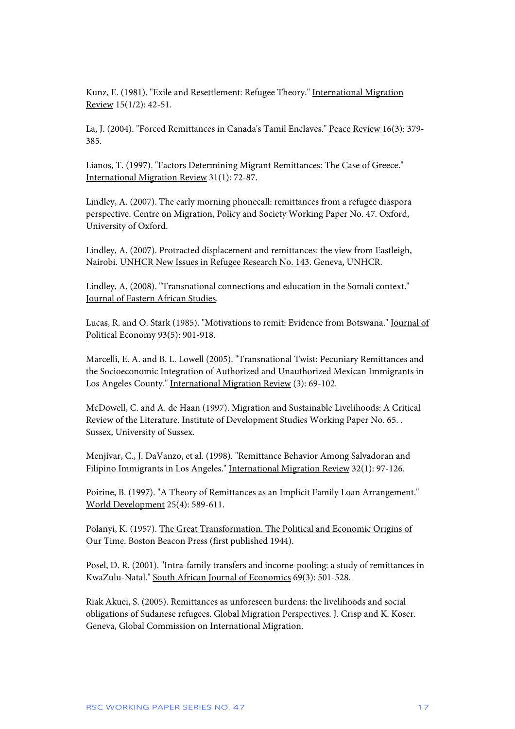Kunz, E. (1981). "Exile and Resettlement: Refugee Theory." International Migration Review 15(1/2): 42-51.

La, J. (2004). "Forced Remittances in Canada's Tamil Enclaves." Peace Review 16(3): 379- 385.

Lianos, T. (1997). "Factors Determining Migrant Remittances: The Case of Greece." International Migration Review 31(1): 72-87.

Lindley, A. (2007). The early morning phonecall: remittances from a refugee diaspora perspective. Centre on Migration, Policy and Society Working Paper No. 47. Oxford, University of Oxford.

Lindley, A. (2007). Protracted displacement and remittances: the view from Eastleigh, Nairobi. UNHCR New Issues in Refugee Research No. 143. Geneva, UNHCR.

Lindley, A. (2008). "Transnational connections and education in the Somali context." Journal of Eastern African Studies.

Lucas, R. and O. Stark (1985). "Motivations to remit: Evidence from Botswana." Journal of Political Economy 93(5): 901-918.

Marcelli, E. A. and B. L. Lowell (2005). "Transnational Twist: Pecuniary Remittances and the Socioeconomic Integration of Authorized and Unauthorized Mexican Immigrants in Los Angeles County." International Migration Review (3): 69-102.

McDowell, C. and A. de Haan (1997). Migration and Sustainable Livelihoods: A Critical Review of the Literature. Institute of Development Studies Working Paper No. 65. . Sussex, University of Sussex.

Menjívar, C., J. DaVanzo, et al. (1998). "Remittance Behavior Among Salvadoran and Filipino Immigrants in Los Angeles." International Migration Review 32(1): 97-126.

Poirine, B. (1997). "A Theory of Remittances as an Implicit Family Loan Arrangement." World Development 25(4): 589-611.

Polanyi, K. (1957). The Great Transformation. The Political and Economic Origins of Our Time. Boston Beacon Press (first published 1944).

Posel, D. R. (2001). "Intra-family transfers and income-pooling: a study of remittances in KwaZulu-Natal." South African Journal of Economics 69(3): 501-528.

Riak Akuei, S. (2005). Remittances as unforeseen burdens: the livelihoods and social obligations of Sudanese refugees. Global Migration Perspectives. J. Crisp and K. Koser. Geneva, Global Commission on International Migration.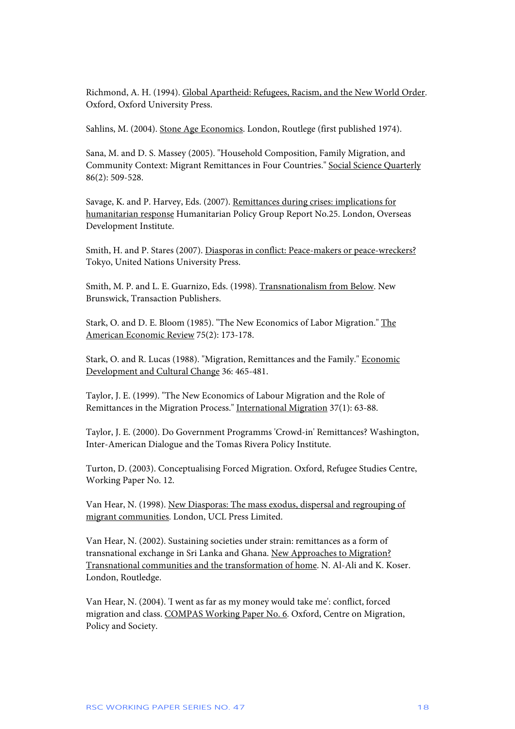Richmond, A. H. (1994). Global Apartheid: Refugees, Racism, and the New World Order. Oxford, Oxford University Press.

Sahlins, M. (2004). Stone Age Economics. London, Routlege (first published 1974).

Sana, M. and D. S. Massey (2005). "Household Composition, Family Migration, and Community Context: Migrant Remittances in Four Countries." Social Science Quarterly 86(2): 509-528.

Savage, K. and P. Harvey, Eds. (2007). Remittances during crises: implications for humanitarian response Humanitarian Policy Group Report No.25. London, Overseas Development Institute.

Smith, H. and P. Stares (2007). Diasporas in conflict: Peace-makers or peace-wreckers? Tokyo, United Nations University Press.

Smith, M. P. and L. E. Guarnizo, Eds. (1998). Transnationalism from Below. New Brunswick, Transaction Publishers.

Stark, O. and D. E. Bloom (1985). "The New Economics of Labor Migration." The American Economic Review 75(2): 173-178.

Stark, O. and R. Lucas (1988). "Migration, Remittances and the Family." Economic Development and Cultural Change 36: 465-481.

Taylor, J. E. (1999). "The New Economics of Labour Migration and the Role of Remittances in the Migration Process." International Migration 37(1): 63-88.

Taylor, J. E. (2000). Do Government Programms 'Crowd-in' Remittances? Washington, Inter-American Dialogue and the Tomas Rivera Policy Institute.

Turton, D. (2003). Conceptualising Forced Migration. Oxford, Refugee Studies Centre, Working Paper No. 12.

Van Hear, N. (1998). New Diasporas: The mass exodus, dispersal and regrouping of migrant communities. London, UCL Press Limited.

Van Hear, N. (2002). Sustaining societies under strain: remittances as a form of transnational exchange in Sri Lanka and Ghana. New Approaches to Migration? Transnational communities and the transformation of home. N. Al-Ali and K. Koser. London, Routledge.

Van Hear, N. (2004). 'I went as far as my money would take me': conflict, forced migration and class. COMPAS Working Paper No. 6. Oxford, Centre on Migration, Policy and Society.